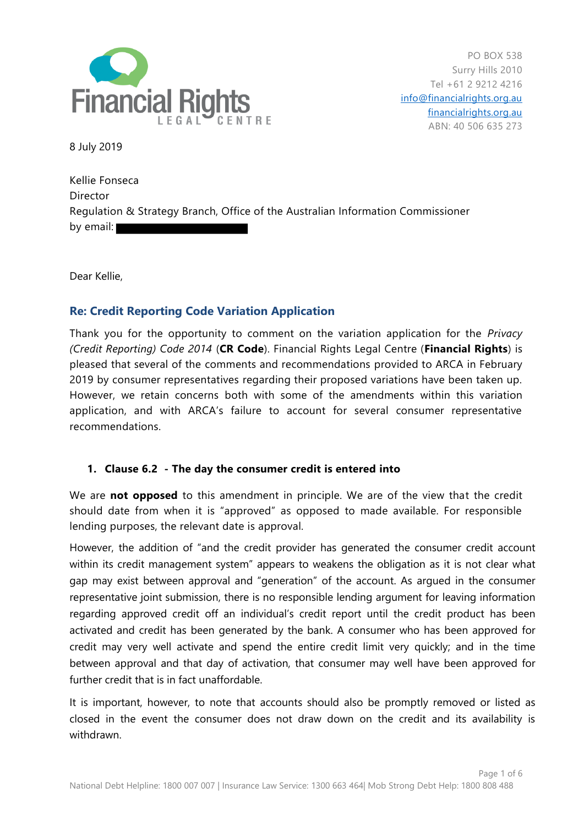

8 July 2019

Kellie Fonseca **Director** Regulation & Strategy Branch, Office of the Australian Information Commissioner by email:

Dear Kellie,

# **Re: Credit Reporting Code Variation Application**

Thank you for the opportunity to comment on the variation application for the *Privacy (Credit Reporting) Code 2014* (**CR Code**). Financial Rights Legal Centre (**Financial Rights**) is pleased that several of the comments and recommendations provided to ARCA in February 2019 by consumer representatives regarding their proposed variations have been taken up. However, we retain concerns both with some of the amendments within this variation application, and with ARCA's failure to account for several consumer representative recommendations.

## **1. Clause 6.2 - The day the consumer credit is entered into**

We are **not opposed** to this amendment in principle. We are of the view that the credit should date from when it is "approved" as opposed to made available. For responsible lending purposes, the relevant date is approval.

However, the addition of "and the credit provider has generated the consumer credit account within its credit management system" appears to weakens the obligation as it is not clear what gap may exist between approval and "generation" of the account. As argued in the consumer representative joint submission, there is no responsible lending argument for leaving information regarding approved credit off an individual's credit report until the credit product has been activated and credit has been generated by the bank. A consumer who has been approved for credit may very well activate and spend the entire credit limit very quickly; and in the time between approval and that day of activation, that consumer may well have been approved for further credit that is in fact unaffordable.

It is important, however, to note that accounts should also be promptly removed or listed as closed in the event the consumer does not draw down on the credit and its availability is withdrawn.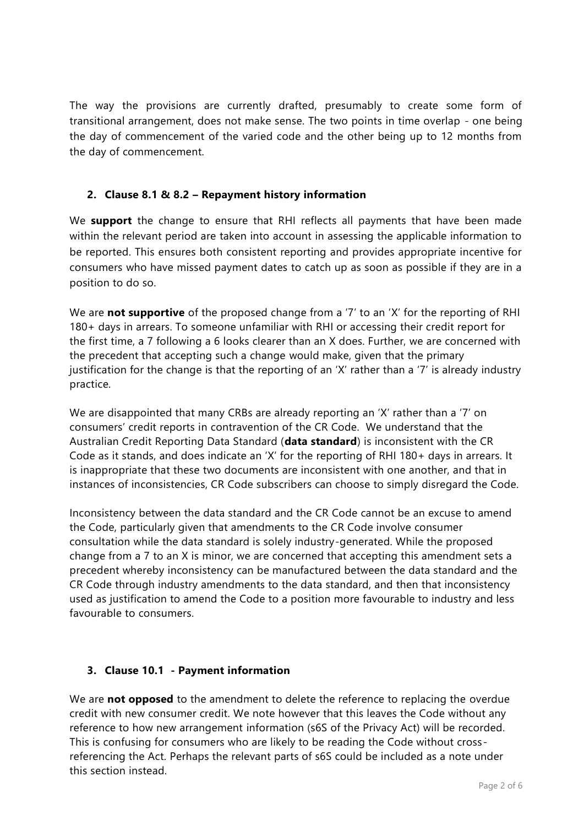The way the provisions are currently drafted, presumably to create some form of transitional arrangement, does not make sense. The two points in time overlap - one being the day of commencement of the varied code and the other being up to 12 months from the day of commencement.

## **2. Clause 8.1 & 8.2 – Repayment history information**

We **support** the change to ensure that RHI reflects all payments that have been made within the relevant period are taken into account in assessing the applicable information to be reported. This ensures both consistent reporting and provides appropriate incentive for consumers who have missed payment dates to catch up as soon as possible if they are in a position to do so.

We are **not supportive** of the proposed change from a '7' to an 'X' for the reporting of RHI 180+ days in arrears. To someone unfamiliar with RHI or accessing their credit report for the first time, a 7 following a 6 looks clearer than an X does. Further, we are concerned with the precedent that accepting such a change would make, given that the primary justification for the change is that the reporting of an 'X' rather than a '7' is already industry practice.

We are disappointed that many CRBs are already reporting an 'X' rather than a '7' on consumers' credit reports in contravention of the CR Code. We understand that the Australian Credit Reporting Data Standard (**data standard**) is inconsistent with the CR Code as it stands, and does indicate an 'X' for the reporting of RHI 180+ days in arrears. It is inappropriate that these two documents are inconsistent with one another, and that in instances of inconsistencies, CR Code subscribers can choose to simply disregard the Code.

Inconsistency between the data standard and the CR Code cannot be an excuse to amend the Code, particularly given that amendments to the CR Code involve consumer consultation while the data standard is solely industry-generated. While the proposed change from a 7 to an X is minor, we are concerned that accepting this amendment sets a precedent whereby inconsistency can be manufactured between the data standard and the CR Code through industry amendments to the data standard, and then that inconsistency used as justification to amend the Code to a position more favourable to industry and less favourable to consumers.

## **3. Clause 10.1 - Payment information**

We are **not opposed** to the amendment to delete the reference to replacing the overdue credit with new consumer credit. We note however that this leaves the Code without any reference to how new arrangement information (s6S of the Privacy Act) will be recorded. This is confusing for consumers who are likely to be reading the Code without crossreferencing the Act. Perhaps the relevant parts of s6S could be included as a note under this section instead.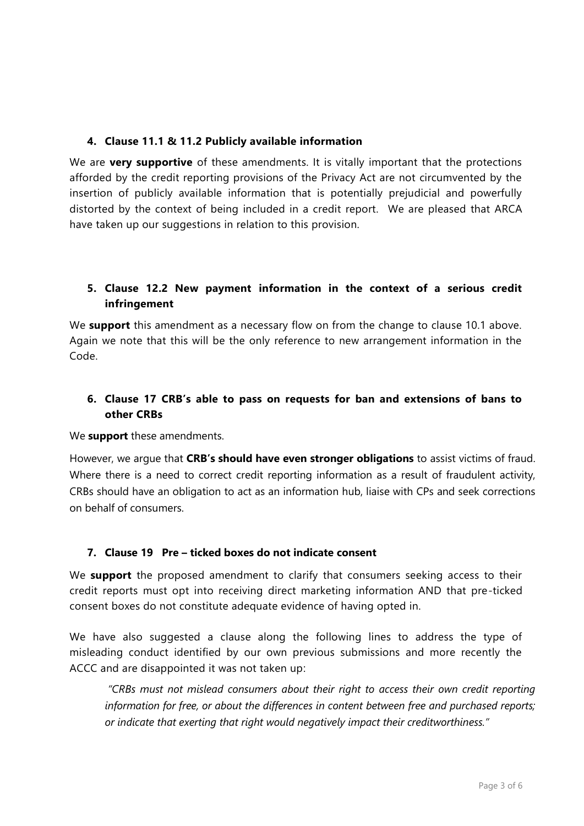## **4. Clause 11.1 & 11.2 Publicly available information**

We are **very supportive** of these amendments. It is vitally important that the protections afforded by the credit reporting provisions of the Privacy Act are not circumvented by the insertion of publicly available information that is potentially prejudicial and powerfully distorted by the context of being included in a credit report. We are pleased that ARCA have taken up our suggestions in relation to this provision.

## **5. Clause 12.2 New payment information in the context of a serious credit infringement**

We **support** this amendment as a necessary flow on from the change to clause 10.1 above. Again we note that this will be the only reference to new arrangement information in the Code.

# **6. Clause 17 CRB's able to pass on requests for ban and extensions of bans to other CRBs**

#### We **support** these amendments.

However, we argue that **CRB's should have even stronger obligations** to assist victims of fraud. Where there is a need to correct credit reporting information as a result of fraudulent activity, CRBs should have an obligation to act as an information hub, liaise with CPs and seek corrections on behalf of consumers.

## **7. Clause 19 Pre – ticked boxes do not indicate consent**

We **support** the proposed amendment to clarify that consumers seeking access to their credit reports must opt into receiving direct marketing information AND that pre-ticked consent boxes do not constitute adequate evidence of having opted in.

We have also suggested a clause along the following lines to address the type of misleading conduct identified by our own previous submissions and more recently the ACCC and are disappointed it was not taken up:

*"CRBs must not mislead consumers about their right to access their own credit reporting information for free, or about the differences in content between free and purchased reports; or indicate that exerting that right would negatively impact their creditworthiness."*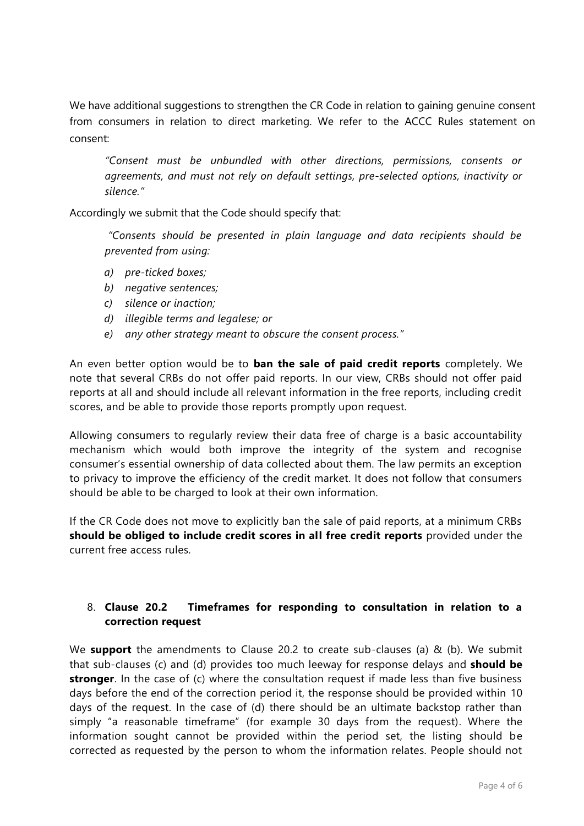We have additional suggestions to strengthen the CR Code in relation to gaining genuine consent from consumers in relation to direct marketing. We refer to the ACCC Rules statement on consent:

*"Consent must be unbundled with other directions, permissions, consents or agreements, and must not rely on default settings, pre-selected options, inactivity or silence."*

Accordingly we submit that the Code should specify that:

*"Consents should be presented in plain language and data recipients should be prevented from using:*

- *a) pre-ticked boxes;*
- *b) negative sentences;*
- *c) silence or inaction;*
- *d) illegible terms and legalese; or*
- *e) any other strategy meant to obscure the consent process."*

An even better option would be to **ban the sale of paid credit reports** completely. We note that several CRBs do not offer paid reports. In our view, CRBs should not offer paid reports at all and should include all relevant information in the free reports, including credit scores, and be able to provide those reports promptly upon request.

Allowing consumers to regularly review their data free of charge is a basic accountability mechanism which would both improve the integrity of the system and recognise consumer's essential ownership of data collected about them. The law permits an exception to privacy to improve the efficiency of the credit market. It does not follow that consumers should be able to be charged to look at their own information.

If the CR Code does not move to explicitly ban the sale of paid reports, at a minimum CRBs **should be obliged to include credit scores in all free credit reports** provided under the current free access rules.

### 8. **Clause 20.2 Timeframes for responding to consultation in relation to a correction request**

We **support** the amendments to Clause 20.2 to create sub-clauses (a) & (b). We submit that sub-clauses (c) and (d) provides too much leeway for response delays and **should be stronger**. In the case of (c) where the consultation request if made less than five business days before the end of the correction period it, the response should be provided within 10 days of the request. In the case of (d) there should be an ultimate backstop rather than simply "a reasonable timeframe" (for example 30 days from the request). Where the information sought cannot be provided within the period set, the listing should be corrected as requested by the person to whom the information relates. People should not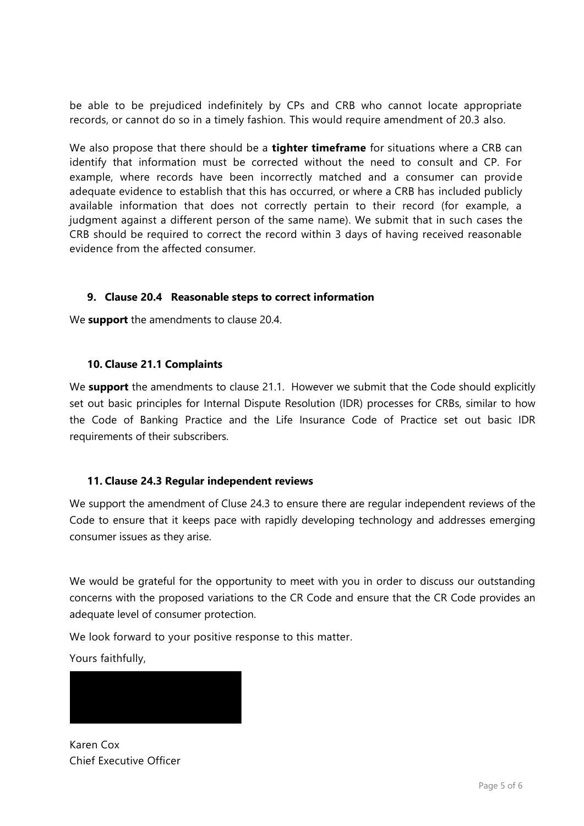be able to be prejudiced indefinitely by CPs and CRB who cannot locate appropriate records, or cannot do so in a timely fashion. This would require amendment of 20.3 also.

We also propose that there should be a **tighter timeframe** for situations where a CRB can identify that information must be corrected without the need to consult and CP. For example, where records have been incorrectly matched and a consumer can provide adequate evidence to establish that this has occurred, or where a CRB has included publicly available information that does not correctly pertain to their record (for example, a judgment against a different person of the same name). We submit that in such cases the CRB should be required to correct the record within 3 days of having received reasonable evidence from the affected consumer.

#### **9. Clause 20.4 Reasonable steps to correct information**

We **support** the amendments to clause 20.4.

#### **10. Clause 21.1 Complaints**

We **support** the amendments to clause 21.1. However we submit that the Code should explicitly set out basic principles for Internal Dispute Resolution (IDR) processes for CRBs, similar to how the Code of Banking Practice and the Life Insurance Code of Practice set out basic IDR requirements of their subscribers.

## **11. Clause 24.3 Regular independent reviews**

We support the amendment of Cluse 24.3 to ensure there are regular independent reviews of the Code to ensure that it keeps pace with rapidly developing technology and addresses emerging consumer issues as they arise.

We would be grateful for the opportunity to meet with you in order to discuss our outstanding concerns with the proposed variations to the CR Code and ensure that the CR Code provides an adequate level of consumer protection.

We look forward to your positive response to this matter.

Yours faithfully,



Karen Cox Chief Executive Officer